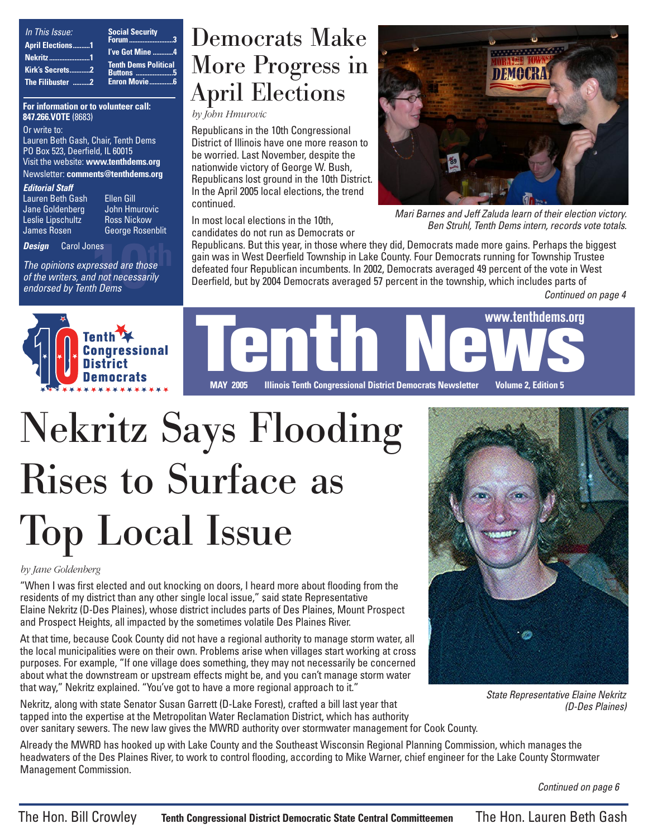| In This Issue:          | <b>Social Security</b>                         |
|-------------------------|------------------------------------------------|
| <b>April Elections1</b> | Forum 3                                        |
| <b>Nekritz1</b>         | I've Got Mine 4<br><b>Tenth Dems Political</b> |
| Kirk's Secrets2         | <b>Buttons 5</b>                               |
| The Filibuster 2        | <b>Enron Movie</b> 6                           |

**For information or to volunteer call: 847.266.VOTE** (8683)

Or write to: Lauren Beth Gash, Chair, Tenth Dems PO Box 523, Deerfield, IL 60015 Visit the website: **www.tenthdems.org**  Newsletter: **comments@tenthdems.org**

#### **Editorial Staff**

Lauren Beth Gash Ellen Gill Jane Goldenberg John Hmurovic Leslie Lipschultz<br>James Rosen

George Rosenblit

**Design** Carol Jones

nes<br>ressed are those<br>d not necessarily<br>h Dems The opinions expressed are those of the writers, and not necessarily endorsed by Tenth Dems

## Democrats Make More Progress in April Elections

*by John Hmurovic*

Republicans in the 10th Congressional District of Illinois have one more reason to be worried. Last November, despite the nationwide victory of George W. Bush, Republicans lost ground in the 10th District. In the April 2005 local elections, the trend continued.

In most local elections in the 10th, candidates do not run as Democrats or



Mari Barnes and Jeff Zaluda learn of their election victory. Ben Struhl, Tenth Dems intern, records vote totals.

Republicans. But this year, in those where they did, Democrats made more gains. Perhaps the biggest gain was in West Deerfield Township in Lake County. Four Democrats running for Township Trustee defeated four Republican incumbents. In 2002, Democrats averaged 49 percent of the vote in West Deerfield, but by 2004 Democrats averaged 57 percent in the township, which includes parts of

Continued on page 4



WWW.tenthdems.org<br>MAY 2005 Hilipois Tenth Congressional District Democrats Newsletter Volume 2 Edition 5 **MAY 2005 Illinois Tenth Congressional District Democrats Newsletter Volume 2, Edition 5 www.tenthdems.org**

# Nekritz Says Flooding Rises to Surface as Top Local Issue

#### *by Jane Goldenberg*

"When I was first elected and out knocking on doors, I heard more about flooding from the residents of my district than any other single local issue," said state Representative Elaine Nekritz (D-Des Plaines), whose district includes parts of Des Plaines, Mount Prospect and Prospect Heights, all impacted by the sometimes volatile Des Plaines River.

At that time, because Cook County did not have a regional authority to manage storm water, all the local municipalities were on their own. Problems arise when villages start working at cross purposes. For example, "If one village does something, they may not necessarily be concerned about what the downstream or upstream effects might be, and you can't manage storm water that way," Nekritz explained. "You've got to have a more regional approach to it."

Nekritz, along with state Senator Susan Garrett (D-Lake Forest), crafted a bill last year that tapped into the expertise at the Metropolitan Water Reclamation District, which has authority over sanitary sewers. The new law gives the MWRD authority over stormwater management for Cook County.



State Representative Elaine Nekritz (D-Des Plaines)

Already the MWRD has hooked up with Lake County and the Southeast Wisconsin Regional Planning Commission, which manages the headwaters of the Des Plaines River, to work to control flooding, according to Mike Warner, chief engineer for the Lake County Stormwater Management Commission.

Continued on page 6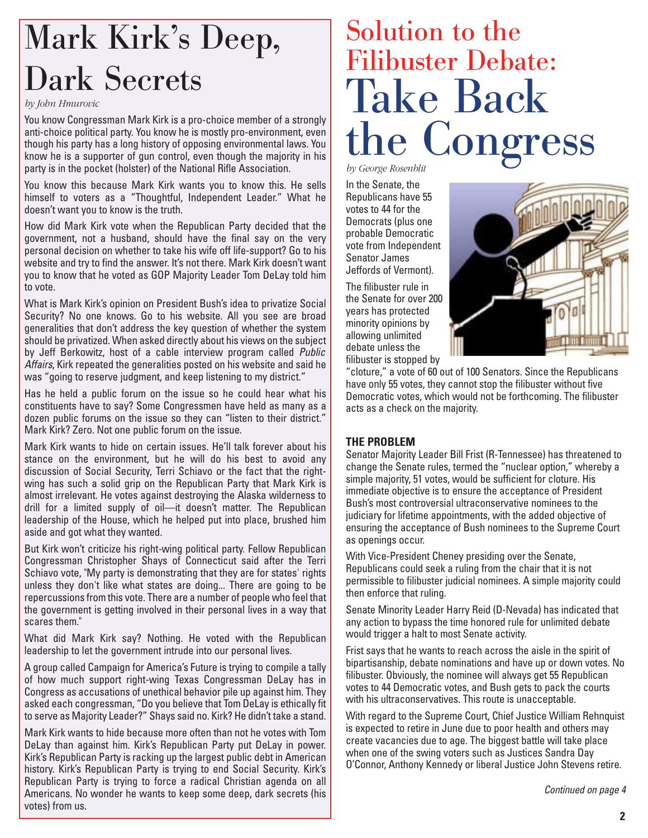# Mark Kirk's Deep, Dark Secrets

#### *by John Hmurovic*

You know Congressman Mark Kirk is a pro-choice member of a strongly anti-choice political party. You know he is mostly pro-environment, even though his party has a long history of opposing environmental laws. You know he is a supporter of gun control, even though the majority in his party is in the pocket (holster) of the National Rifle Association.

You know this because Mark Kirk wants you to know this. He sells himself to voters as a "Thoughtful, Independent Leader." What he doesn't want you to know is the truth.

How did Mark Kirk vote when the Republican Party decided that the government, not a husband, should have the final say on the very personal decision on whether to take his wife off life-support? Go to his website and try to find the answer. It's not there. Mark Kirk doesn't want you to know that he voted as GOP Majority Leader Tom DeLay told him to vote.

What is Mark Kirk's opinion on President Bush's idea to privatize Social Security? No one knows. Go to his website. All you see are broad generalities that don't address the key question of whether the system should be privatized. When asked directly about his views on the subject by Jeff Berkowitz, host of a cable interview program called Public Affairs, Kirk repeated the generalities posted on his website and said he was "going to reserve judgment, and keep listening to my district."

Has he held a public forum on the issue so he could hear what his constituents have to say? Some Congressmen have held as many as a dozen public forums on the issue so they can "listen to their district." Mark Kirk? Zero. Not one public forum on the issue.

Mark Kirk wants to hide on certain issues. He'll talk forever about his stance on the environment, but he will do his best to avoid any discussion of Social Security, Terri Schiavo or the fact that the rightwing has such a solid grip on the Republican Party that Mark Kirk is almost irrelevant. He votes against destroying the Alaska wilderness to drill for a limited supply of oil—it doesn't matter. The Republican leadership of the House, which he helped put into place, brushed him aside and got what they wanted.

But Kirk won't criticize his right-wing political party. Fellow Republican Congressman Christopher Shays of Connecticut said after the Terri Schiavo vote, "My party is demonstrating that they are for states' rights unless they don't like what states are doing... There are going to be repercussions from this vote. There are a number of people who feel that the government is getting involved in their personal lives in a way that scares them."

What did Mark Kirk say? Nothing. He voted with the Republican leadership to let the government intrude into our personal lives.

A group called Campaign for America's Future is trying to compile a tally of how much support right-wing Texas Congressman DeLay has in Congress as accusations of unethical behavior pile up against him. They asked each congressman, "Do you believe that Tom DeLay is ethically fit to serve as Majority Leader?" Shays said no. Kirk? He didn't take a stand.

Mark Kirk wants to hide because more often than not he votes with Tom DeLay than against him. Kirk's Republican Party put DeLay in power. Kirk's Republican Party is racking up the largest public debt in American history. Kirk's Republican Party is trying to end Social Security. Kirk's Republican Party is trying to force a radical Christian agenda on all Americans. No wonder he wants to keep some deep, dark secrets (his votes) from us.

# Solution to the Filibuster Debate: Take Back the Congress

*by George Rosenblit*

In the Senate, the Republicans have 55 votes to 44 for the Democrats (plus one probable Democratic vote from Independent Senator James Jeffords of Vermont).

The filibuster rule in the Senate for over 200 years has protected minority opinions by allowing unlimited debate unless the filibuster is stopped by



"cloture," a vote of 60 out of 100 Senators. Since the Republicans have only 55 votes, they cannot stop the filibuster without five Democratic votes, which would not be forthcoming. The filibuster acts as a check on the majority.

### **THE PROBLEM**

Senator Majority Leader Bill Frist (R-Tennessee) has threatened to change the Senate rules, termed the "nuclear option," whereby a simple majority, 51 votes, would be sufficient for cloture. His immediate objective is to ensure the acceptance of President Bush's most controversial ultraconservative nominees to the judiciary for lifetime appointments, with the added objective of ensuring the acceptance of Bush nominees to the Supreme Court as openings occur.

With Vice-President Cheney presiding over the Senate, Republicans could seek a ruling from the chair that it is not permissible to filibuster judicial nominees. A simple majority could then enforce that ruling.

Senate Minority Leader Harry Reid (D-Nevada) has indicated that any action to bypass the time honored rule for unlimited debate would trigger a halt to most Senate activity.

Frist says that he wants to reach across the aisle in the spirit of bipartisanship, debate nominations and have up or down votes. No filibuster. Obviously, the nominee will always get 55 Republican votes to 44 Democratic votes, and Bush gets to pack the courts with his ultraconservatives. This route is unacceptable.

With regard to the Supreme Court, Chief Justice William Rehnquist is expected to retire in June due to poor health and others may create vacancies due to age. The biggest battle will take place when one of the swing voters such as Justices Sandra Day O'Connor, Anthony Kennedy or liberal Justice John Stevens retire.

Continued on page 4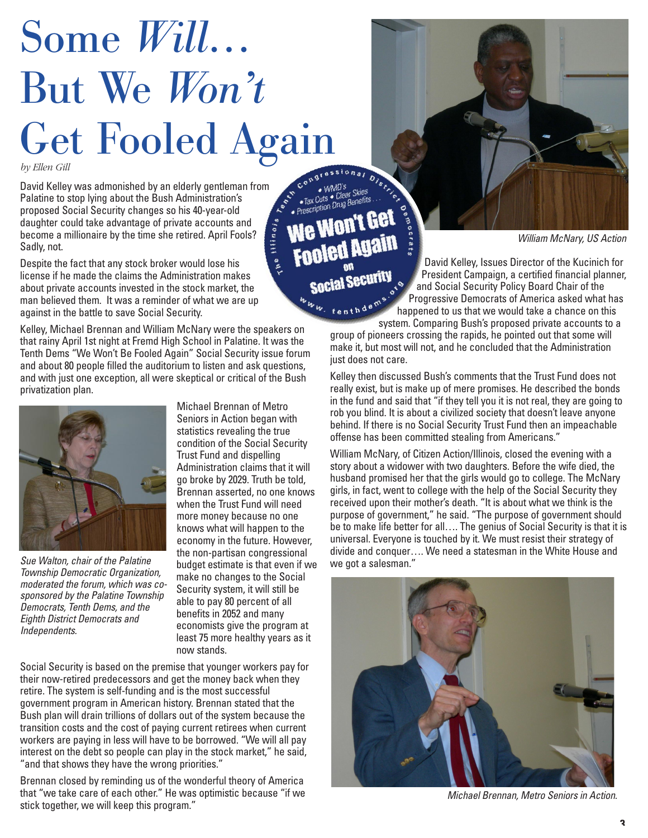# Some *Will…* But We *Won't* Get Fooled Again

*by Ellen Gill*

David Kelley was admonished by an elderly gentleman from Palatine to stop lying about the Bush Administration's proposed Social Security changes so his 40-year-old daughter could take advantage of private accounts and become a millionaire by the time she retired. April Fools? Sadly, not.

Despite the fact that any stock broker would lose his license if he made the claims the Administration makes about private accounts invested in the stock market, the man believed them. It was a reminder of what we are up against in the battle to save Social Security.

Kelley, Michael Brennan and William McNary were the speakers on that rainy April 1st night at Fremd High School in Palatine. It was the Tenth Dems "We Won't Be Fooled Again" Social Security issue forum and about 80 people filled the auditorium to listen and ask questions, and with just one exception, all were skeptical or critical of the Bush privatization plan.



Sue Walton, chair of the Palatine budget estimate is that even if we we got a salesman." Township Democratic Organization, moderated the forum, which was cosponsored by the Palatine Township Democrats, Tenth Dems, and the Eighth District Democrats and Independents.

Michael Brennan of Metro Seniors in Action began with statistics revealing the true condition of the Social Security Trust Fund and dispelling Administration claims that it will go broke by 2029. Truth be told, Brennan asserted, no one knows when the Trust Fund will need more money because no one knows what will happen to the economy in the future. However, the non-partisan congressional make no changes to the Social Security system, it will still be able to pay 80 percent of all benefits in 2052 and many economists give the program at least 75 more healthy years as it now stands.

Social Security is based on the premise that younger workers pay for their now-retired predecessors and get the money back when they retire. The system is self-funding and is the most successful government program in American history. Brennan stated that the Bush plan will drain trillions of dollars out of the system because the transition costs and the cost of paying current retirees when current workers are paying in less will have to be borrowed. "We will all pay interest on the debt so people can play in the stock market," he said, "and that shows they have the wrong priorities."

Brennan closed by reminding us of the wonderful theory of America that "we take care of each other." He was optimistic because "if we stick together, we will keep this program."

WMD's<br>Tax Cuts • Clear Skies<br>• Prescription Drug Benefits We Won't Get **Fooled Vasiu**<br>Me Mou **Social Security** 

the Illinois

William McNary, US Action

David Kelley, Issues Director of the Kucinich for President Campaign, a certified financial planner, and Social Security Policy Board Chair of the Progressive Democrats of America asked what has happened to us that we would take a chance on this stem that the system. Comparing Bush's proposed private accounts to a system. Comparing Bush's proposed private accounts to a

group of pioneers crossing the rapids, he pointed out that some will make it, but most will not, and he concluded that the Administration just does not care.

Kelley then discussed Bush's comments that the Trust Fund does not really exist, but is make up of mere promises. He described the bonds in the fund and said that "if they tell you it is not real, they are going to rob you blind. It is about a civilized society that doesn't leave anyone behind. If there is no Social Security Trust Fund then an impeachable offense has been committed stealing from Americans."

William McNary, of Citizen Action/Illinois, closed the evening with a story about a widower with two daughters. Before the wife died, the husband promised her that the girls would go to college. The McNary girls, in fact, went to college with the help of the Social Security they received upon their mother's death. "It is about what we think is the purpose of government," he said. "The purpose of government should be to make life better for all…. The genius of Social Security is that it is universal. Everyone is touched by it. We must resist their strategy of divide and conquer…. We need a statesman in the White House and



Michael Brennan, Metro Seniors in Action.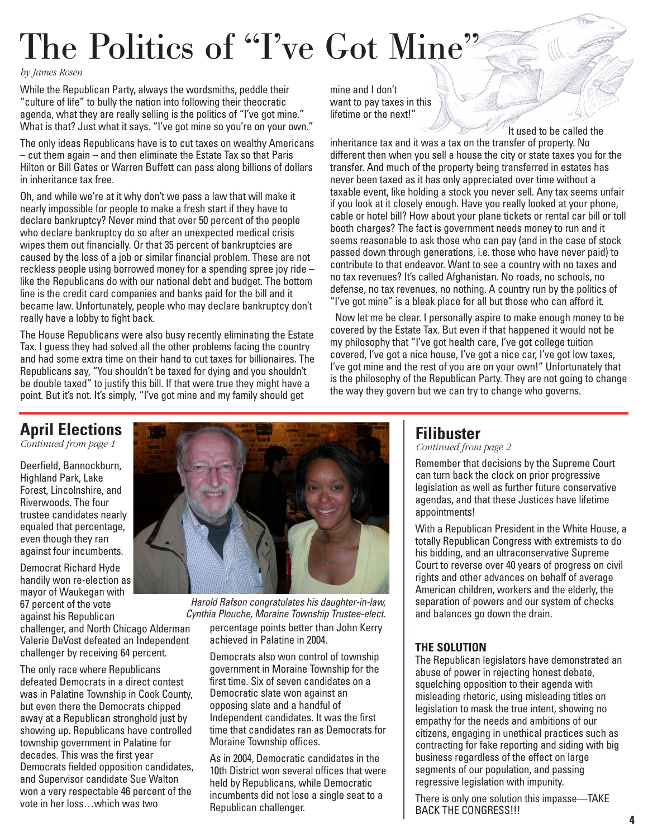# The Politics of "I've Got Mine"

*by James Rosen*

While the Republican Party, always the wordsmiths, peddle their "culture of life" to bully the nation into following their theocratic agenda, what they are really selling is the politics of "I've got mine." What is that? Just what it says. "I've got mine so you're on your own."

The only ideas Republicans have is to cut taxes on wealthy Americans – cut them again – and then eliminate the Estate Tax so that Paris Hilton or Bill Gates or Warren Buffett can pass along billions of dollars in inheritance tax free.

Oh, and while we're at it why don't we pass a law that will make it nearly impossible for people to make a fresh start if they have to declare bankruptcy? Never mind that over 50 percent of the people who declare bankruptcy do so after an unexpected medical crisis wipes them out financially. Or that 35 percent of bankruptcies are caused by the loss of a job or similar financial problem. These are not reckless people using borrowed money for a spending spree joy ride – like the Republicans do with our national debt and budget. The bottom line is the credit card companies and banks paid for the bill and it became law. Unfortunately, people who may declare bankruptcy don't really have a lobby to fight back.

The House Republicans were also busy recently eliminating the Estate Tax. I guess they had solved all the other problems facing the country and had some extra time on their hand to cut taxes for billionaires. The Republicans say, "You shouldn't be taxed for dying and you shouldn't be double taxed" to justify this bill. If that were true they might have a point. But it's not. It's simply, "I've got mine and my family should get

mine and I don't want to pay taxes in this lifetime or the next!"

It used to be called the inheritance tax and it was a tax on the transfer of property. No different then when you sell a house the city or state taxes you for the transfer. And much of the property being transferred in estates has never been taxed as it has only appreciated over time without a taxable event, like holding a stock you never sell. Any tax seems unfair if you look at it closely enough. Have you really looked at your phone, cable or hotel bill? How about your plane tickets or rental car bill or toll booth charges? The fact is government needs money to run and it seems reasonable to ask those who can pay (and in the case of stock passed down through generations, i.e. those who have never paid) to contribute to that endeavor. Want to see a country with no taxes and no tax revenues? It's called Afghanistan. No roads, no schools, no defense, no tax revenues, no nothing. A country run by the politics of "I've got mine" is a bleak place for all but those who can afford it.

Now let me be clear. I personally aspire to make enough money to be covered by the Estate Tax. But even if that happened it would not be my philosophy that "I've got health care, I've got college tuition covered, I've got a nice house, I've got a nice car, I've got low taxes, I've got mine and the rest of you are on your own!" Unfortunately that is the philosophy of the Republican Party. They are not going to change the way they govern but we can try to change who governs.

### **April Elections**

*Continued from page 1*

Deerfield, Bannockburn, Highland Park, Lake Forest, Lincolnshire, and Riverwoods. The four trustee candidates nearly equaled that percentage, even though they ran against four incumbents.

Democrat Richard Hyde handily won re-election as mayor of Waukegan with 67 percent of the vote against his Republican challenger, and North Chicago Alderman Valerie DeVost defeated an Independent challenger by receiving 64 percent.

The only race where Republicans defeated Democrats in a direct contest was in Palatine Township in Cook County, but even there the Democrats chipped away at a Republican stronghold just by showing up. Republicans have controlled township government in Palatine for decades. This was the first year Democrats fielded opposition candidates, and Supervisor candidate Sue Walton won a very respectable 46 percent of the vote in her loss…which was two



percentage points better than John Kerry achieved in Palatine in 2004. Harold Rafson congratulates his daughter-in-law, Cynthia Plouche, Moraine Township Trustee-elect.

Democrats also won control of township government in Moraine Township for the first time. Six of seven candidates on a Democratic slate won against an opposing slate and a handful of Independent candidates. It was the first time that candidates ran as Democrats for Moraine Township offices.

As in 2004, Democratic candidates in the 10th District won several offices that were held by Republicans, while Democratic incumbents did not lose a single seat to a Republican challenger.

### **Filibuster**

*Continued from page 2*

Remember that decisions by the Supreme Court can turn back the clock on prior progressive legislation as well as further future conservative agendas, and that these Justices have lifetime appointments!

With a Republican President in the White House, a totally Republican Congress with extremists to do his bidding, and an ultraconservative Supreme Court to reverse over 40 years of progress on civil rights and other advances on behalf of average American children, workers and the elderly, the separation of powers and our system of checks and balances go down the drain.

### **THE SOLUTION**

The Republican legislators have demonstrated an abuse of power in rejecting honest debate, squelching opposition to their agenda with misleading rhetoric, using misleading titles on legislation to mask the true intent, showing no empathy for the needs and ambitions of our citizens, engaging in unethical practices such as contracting for fake reporting and siding with big business regardless of the effect on large segments of our population, and passing regressive legislation with impunity.

There is only one solution this impasse—TAKE BACK THE CONGRESS!!!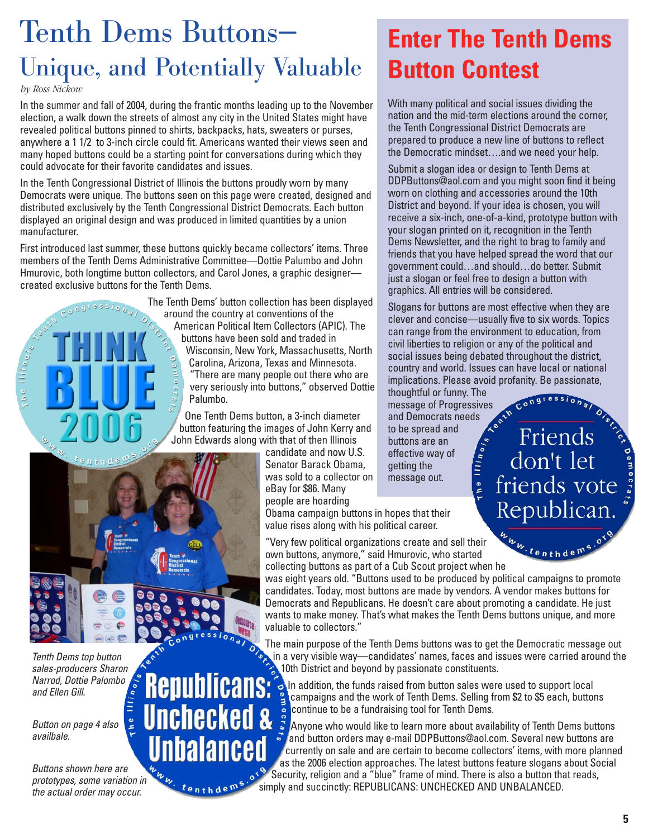# Tenth Dems Buttons— Unique, and Potentially Valuable

*by Ross Nickow*

In the summer and fall of 2004, during the frantic months leading up to the November election, a walk down the streets of almost any city in the United States might have revealed political buttons pinned to shirts, backpacks, hats, sweaters or purses, anywhere a 1 1/2 to 3-inch circle could fit. Americans wanted their views seen and many hoped buttons could be a starting point for conversations during which they could advocate for their favorite candidates and issues.

In the Tenth Congressional District of Illinois the buttons proudly worn by many Democrats were unique. The buttons seen on this page were created, designed and distributed exclusively by the Tenth Congressional District Democrats. Each button displayed an original design and was produced in limited quantities by a union manufacturer.

First introduced last summer, these buttons quickly became collectors' items. Three members of the Tenth Dems Administrative Committee—Dottie Palumbo and John Hmurovic, both longtime button collectors, and Carol Jones, a graphic designer created exclusive buttons for the Tenth Dems.

> The Tenth Dems' button collection has been displayed around the country at conventions of the American Political Item Collectors (APIC). The buttons have been sold and traded in Wisconsin, New York, Massachusetts, North Carolina, Arizona, Texas and Minnesota. "There are many people out there who are very seriously into buttons," observed Dottie Palumbo.

One Tenth Dems button, a 3-inch diameter button featuring the images of John Kerry and John Edwards along with that of then Illinois

candidate and now U.S. Senator Barack Obama, was sold to a collector on eBay for \$86. Many people are hoarding

Obama campaign buttons in hopes that their value rises along with his political career.

"Very few political organizations create and sell their own buttons, anymore," said Hmurovic, who started "Very few political organizations create and sell their<br>own buttons, anymore," said Hmurovic, who started<br>collecting buttons as part of a Cub Scout project when he

was eight years old. "Buttons used to be produced by political campaigns to promote candidates. Today, most buttons are made by vendors. A vendor makes buttons for Democrats and Republicans. He doesn't care about promoting a candidate. He just wants to make money. That's what makes the Tenth Dems buttons unique, and more valuable to collectors."

The main purpose of the Tenth Dems buttons was to get the Democratic message out in a very visible way—candidates' names, faces and issues were carried around the 10th District and beyond by passionate constituents. **Republicans:** 

 $\bullet$  In addition, the funds raised from button sales were used to support local campaigns and the work of Tenth Dems. Selling from \$2 to \$5 each, buttons continue to be a fundraising tool for Tenth Dems.

**Unchecked &** Anyone who would like to learn more about availability of Tenth Dems buttons and button orders may e-mail DDPButtons@aol.com. Several new buttons are currently on sale and are certain to become collectors' items, with more planned as the 2006 election approaches. The latest buttons feature slogans about Social Security, religion and a "blue" frame of mind. There is also a button that reads, simply and succinctly: REPUBLICANS: UNCHECKED AND UNBALANCED.

Tenth Dems top button sales-producers Sharon Narrod, Dottie Palombo and Ellen Gill.

Button on page 4 also availbale.

Buttons shown here are prototypes, some variation in the actual order may occur.

## **Enter The Tenth Dems Button Contest**

With many political and social issues dividing the nation and the mid-term elections around the corner, the Tenth Congressional District Democrats are prepared to produce a new line of buttons to reflect the Democratic mindset….and we need your help.

Submit a slogan idea or design to Tenth Dems at DDPButtons@aol.com and you might soon find it being worn on clothing and accessories around the 10th District and beyond. If your idea is chosen, you will receive a six-inch, one-of-a-kind, prototype button with your slogan printed on it, recognition in the Tenth Dems Newsletter, and the right to brag to family and friends that you have helped spread the word that our government could…and should…do better. Submit just a slogan or feel free to design a button with graphics. All entries will be considered.

Slogans for buttons are most effective when they are clever and concise—usually five to six words. Topics can range from the environment to education, from civil liberties to religion or any of the political and social issues being debated throughout the district, country and world. Issues can have local or national implications. Please avoid profanity. Be passionate,

Friends<sup>3</sup><br>don't let<br>friends vote

Republican

thoughtful or funny. The message of Progressives<br>and Democrats needs<br>to be spread and Democrats needs to be spread and The Illinois buttons are an effective way of getting the message out.



Unbalanced

tenthdems

**5**